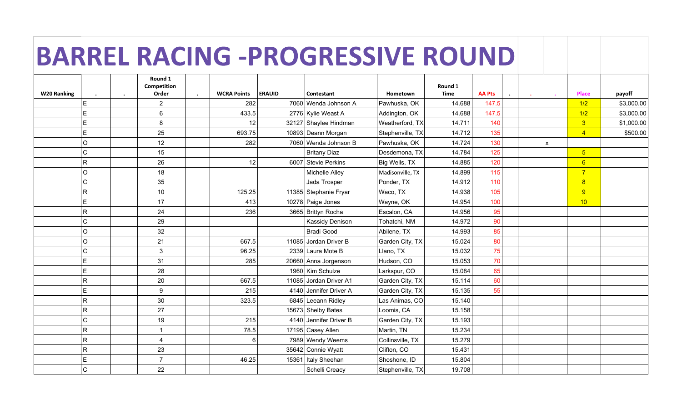## BARREL RACING -PROGRESSIVE ROUND

|                    |              |           | Round 1<br>Competition |           |                    |               |                        |                  | Round 1     |               |  |                         |            |
|--------------------|--------------|-----------|------------------------|-----------|--------------------|---------------|------------------------|------------------|-------------|---------------|--|-------------------------|------------|
| <b>W20 Ranking</b> |              | $\bullet$ | Order                  | $\bullet$ | <b>WCRA Points</b> | <b>ERAUID</b> | Contestant             | Hometown         | <b>Time</b> | <b>AA Pts</b> |  | Place                   | payoff     |
|                    | E            |           | $\overline{2}$         |           | 282                |               | 7060 Wenda Johnson A   | Pawhuska, OK     | 14.688      | 147.5         |  | 1/2                     | \$3,000.00 |
|                    | E            |           | 6                      |           | 433.5              |               | 2776 Kylie Weast A     | Addington, OK    | 14.688      | 147.5         |  | 1/2                     | \$3,000.00 |
|                    | E            |           | 8                      |           | 12                 |               | 32127 Shaylee Hindman  | Weatherford, TX  | 14.711      | 140           |  | $\overline{\mathbf{3}}$ | \$1,000.00 |
|                    | E            |           | 25                     |           | 693.75             |               | 10893 Deann Morgan     | Stephenville, TX | 14.712      | 135           |  | $\overline{4}$          | \$500.00   |
|                    | $\circ$      |           | 12                     |           | 282                |               | 7060 Wenda Johnson B   | Pawhuska, OK     | 14.724      | 130           |  |                         |            |
|                    | C            |           | 15                     |           |                    |               | Britany Diaz           | Desdemona, TX    | 14.784      | 125           |  | 5 <sub>5</sub>          |            |
|                    | $\mathsf{R}$ |           | 26                     |           | 12                 |               | 6007 Stevie Perkins    | Big Wells, TX    | 14.885      | 120           |  | 6                       |            |
|                    | $\circ$      |           | 18                     |           |                    |               | Michelle Alley         | Madisonville, TX | 14.899      | 115           |  | $\overline{7}$          |            |
|                    | C            |           | 35                     |           |                    |               | Jada Trosper           | Ponder, TX       | 14.912      | 110           |  | 8                       |            |
|                    | R.           |           | 10                     |           | 125.25             |               | 11385 Stephanie Fryar  | Waco, TX         | 14.938      | 105           |  | 9                       |            |
|                    | E            |           | 17                     |           | 413                |               | 10278 Paige Jones      | Wayne, OK        | 14.954      | 100           |  | 10                      |            |
|                    | R            |           | 24                     |           | 236                |               | 3665 Brittyn Rocha     | Escalon, CA      | 14.956      | 95            |  |                         |            |
|                    | C            |           | 29                     |           |                    |               | <b>Kassidy Denison</b> | Tohatchi, NM     | 14.972      | 90            |  |                         |            |
|                    | $\circ$      |           | 32                     |           |                    |               | Bradi Good             | Abilene, TX      | 14.993      | 85            |  |                         |            |
|                    | $\circ$      |           | 21                     |           | 667.5              |               | 11085 Jordan Driver B  | Garden City, TX  | 15.024      | 80            |  |                         |            |
|                    | C            |           | $\mathsf 3$            |           | 96.25              |               | 2339 Laura Mote B      | Llano, TX        | 15.032      | 75            |  |                         |            |
|                    | E            |           | 31                     |           | 285                |               | 20660 Anna Jorgenson   | Hudson, CO       | 15.053      | 70            |  |                         |            |
|                    | E            |           | 28                     |           |                    |               | 1960 Kim Schulze       | Larkspur, CO     | 15.084      | 65            |  |                         |            |
|                    | R            |           | 20                     |           | 667.5              |               | 11085 Jordan Driver A1 | Garden City, TX  | 15.114      | 60            |  |                         |            |
|                    | E            |           | 9                      |           | 215                |               | 4140 Jennifer Driver A | Garden City, TX  | 15.135      | 55            |  |                         |            |
|                    | $\mathsf{R}$ |           | 30                     |           | 323.5              |               | 6845 Leeann Ridley     | Las Animas, CO   | 15.140      |               |  |                         |            |
|                    | $\mathsf{R}$ |           | 27                     |           |                    |               | 15673 Shelby Bates     | Loomis, CA       | 15.158      |               |  |                         |            |
|                    | C            |           | 19                     |           | 215                |               | 4140 Jennifer Driver B | Garden City, TX  | 15.193      |               |  |                         |            |
|                    | R.           |           | 1                      |           | 78.5               |               | 17195 Casey Allen      | Martin, TN       | 15.234      |               |  |                         |            |
|                    | R            |           | $\overline{4}$         |           | 6                  |               | 7989 Wendy Weems       | Collinsville, TX | 15.279      |               |  |                         |            |
|                    | $\mathsf{R}$ |           | 23                     |           |                    |               | 35642 Connie Wyatt     | Clifton, CO      | 15.431      |               |  |                         |            |
|                    | E            |           | $\overline{7}$         |           | 46.25              |               | 15361 Italy Sheehan    | Shoshone, ID     | 15.804      |               |  |                         |            |
|                    | C.           |           | 22                     |           |                    |               | Schelli Creacy         | Stephenville, TX | 19.708      |               |  |                         |            |